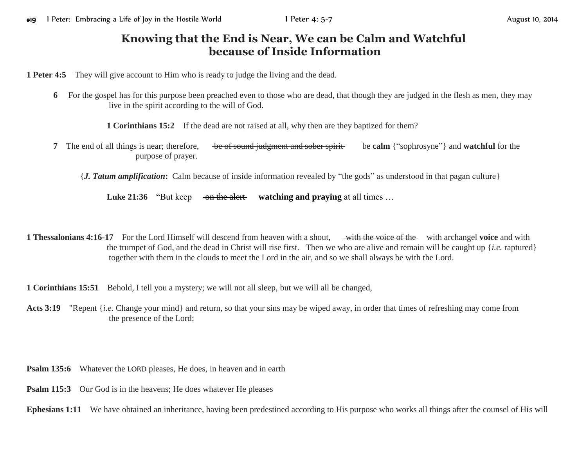## **Knowing that the End is Near, We can be Calm and Watchful because of Inside Information**

**1 Peter 4:5** They will give account to Him who is ready to judge the living and the dead.

**6** For the gospel has for this purpose been preached even to those who are dead, that though they are judged in the flesh as men, they may live in the spirit according to the will of God.

**1 Corinthians 15:2** If the dead are not raised at all, why then are they baptized for them?

- **7** The end of all things is near; therefore, be of sound judgment and sober spirit be **calm** {"sophrosyne"} and **watchful** for the purpose of prayer.
	- {*J. Tatum amplification***:** Calm because of inside information revealed by "the gods" as understood in that pagan culture}

**Luke 21:36** "But keep on the alert **watching and praying** at all times ...

**1 Thessalonians 4:16-17** For the Lord Himself will descend from heaven with a shout, with the voice of the with archangel **voice** and with the trumpet of God, and the dead in Christ will rise first. Then we who are alive and remain will be caught up {*i.e.* raptured} together with them in the clouds to meet the Lord in the air, and so we shall always be with the Lord.

**1 Corinthians 15:51** Behold, I tell you a mystery; we will not all sleep, but we will all be changed,

- **Acts 3:19** "Repent {*i.e.* Change your mind} and return, so that your sins may be wiped away, in order that times of refreshing may come from the presence of the Lord;
- **Psalm 135:6** Whatever the LORD pleases, He does, in heaven and in earth
- **Psalm 115:3** Our God is in the heavens; He does whatever He pleases
- **Ephesians 1:11** We have obtained an inheritance, having been predestined according to His purpose who works all things after the counsel of His will